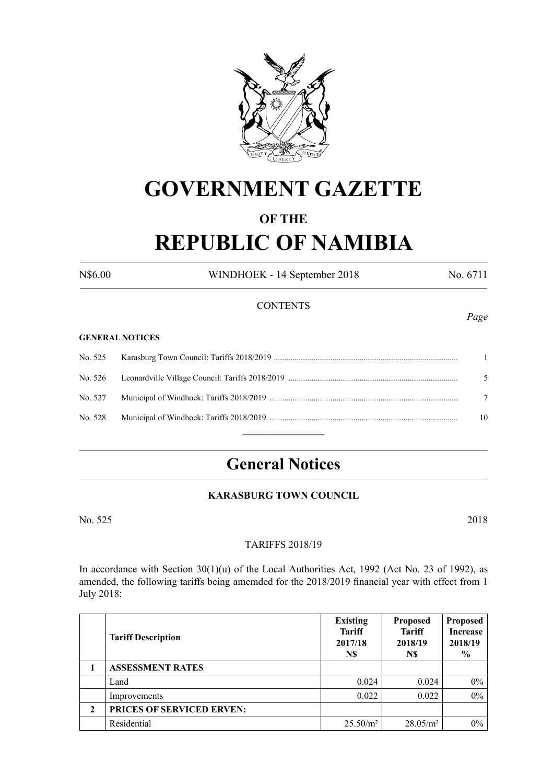

# **GOVERNMENT GAZETTE**

# **OF THE**

# **REPUBLIC OF NAMIBIA**

N\$6.00 WINDHOEK - 14 September 2018 No. 6711

#### **CONTENTS**

#### **GENERAL NOTICES**

|  | $\blacksquare$ |
|--|----------------|
|  | -5             |
|  |                |
|  | 10             |
|  |                |

# **General Notices**

## **KARASBURG TOWN COUNCIL**

No. 525 2018

#### **TARIFFS 2018/19**

In accordance with Section  $30(1)(u)$  of the Local Authorities Act, 1992 (Act No. 23 of 1992), as amended, the following tariffs being amemded for the 2018/2019 financial year with effect from 1 July 2018:

|   | <b>Tariff Description</b>        | <b>Existing</b><br><b>Tariff</b><br>2017/18<br>N\$ | <b>Proposed</b><br><b>Tariff</b><br>2018/19<br>N\$ | <b>Proposed</b><br><b>Increase</b><br>2018/19<br>$\frac{6}{6}$ |
|---|----------------------------------|----------------------------------------------------|----------------------------------------------------|----------------------------------------------------------------|
|   | <b>ASSESSMENT RATES</b>          |                                                    |                                                    |                                                                |
|   | Land                             | 0.024                                              | 0.024                                              | $0\%$                                                          |
|   | Improvements                     | 0.022                                              | 0.022                                              | $0\%$                                                          |
| 2 | <b>PRICES OF SERVICED ERVEN:</b> |                                                    |                                                    |                                                                |
|   | Residential                      | $25.50/m^2$                                        | $28.05/m^2$                                        | $0\%$                                                          |

*Page*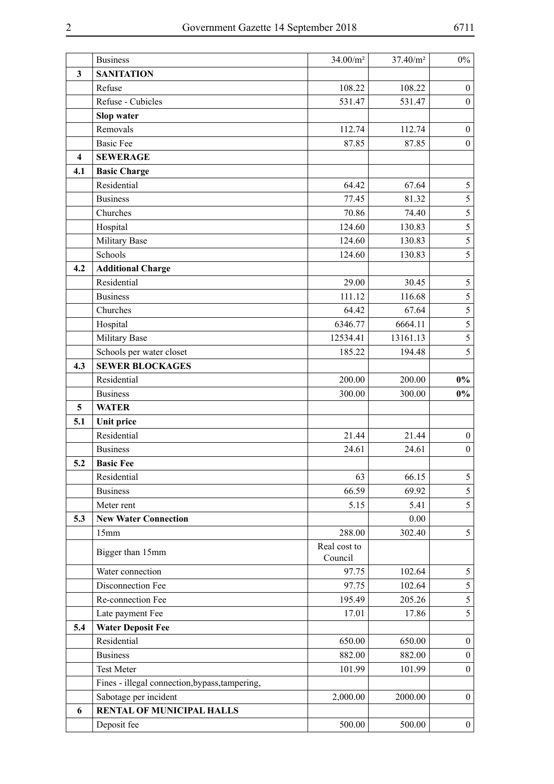|                         | <b>Business</b>                                | $34.00/m^2$             | 37.40/m <sup>2</sup> | $0\%$            |
|-------------------------|------------------------------------------------|-------------------------|----------------------|------------------|
| 3                       | <b>SANITATION</b>                              |                         |                      |                  |
|                         | Refuse                                         | 108.22                  | 108.22               | $\boldsymbol{0}$ |
|                         | Refuse - Cubicles                              | 531.47                  | 531.47               | $\boldsymbol{0}$ |
|                         | Slop water                                     |                         |                      |                  |
|                         | Removals                                       | 112.74                  | 112.74               | $\boldsymbol{0}$ |
|                         | <b>Basic Fee</b>                               | 87.85                   | 87.85                | $\boldsymbol{0}$ |
| $\overline{\mathbf{4}}$ | <b>SEWERAGE</b>                                |                         |                      |                  |
| 4.1                     | <b>Basic Charge</b>                            |                         |                      |                  |
|                         | Residential                                    | 64.42                   | 67.64                | $\mathfrak s$    |
|                         | <b>Business</b>                                | 77.45                   | 81.32                | 5                |
|                         | Churches                                       | 70.86                   | 74.40                | 5                |
|                         | Hospital                                       | 124.60                  | 130.83               | $\overline{5}$   |
|                         | Military Base                                  | 124.60                  | 130.83               | 5                |
|                         | Schools                                        | 124.60                  | 130.83               | 5                |
| 4.2                     | <b>Additional Charge</b>                       |                         |                      |                  |
|                         | Residential                                    | 29.00                   | 30.45                | $\sqrt{5}$       |
|                         | <b>Business</b>                                | 111.12                  | 116.68               | 5                |
|                         | Churches                                       | 64.42                   | 67.64                | $\overline{5}$   |
|                         | Hospital                                       | 6346.77                 | 6664.11              | $\overline{5}$   |
|                         | Military Base                                  | 12534.41                | 13161.13             | 5                |
|                         | Schools per water closet                       | 185.22                  | 194.48               | 5                |
| 4.3                     | <b>SEWER BLOCKAGES</b>                         |                         |                      |                  |
|                         | Residential                                    | 200.00                  | 200.00               | $0\%$            |
|                         | <b>Business</b>                                | 300.00                  | 300.00               | $0\%$            |
| 5                       | <b>WATER</b>                                   |                         |                      |                  |
| 5.1                     | <b>Unit price</b>                              |                         |                      |                  |
|                         | Residential                                    | 21.44                   | 21.44                | $\boldsymbol{0}$ |
|                         | <b>Business</b>                                | 24.61                   | 24.61                | $\boldsymbol{0}$ |
| 5.2                     | <b>Basic Fee</b>                               |                         |                      |                  |
|                         | Residential                                    | 63                      | 66.15                | 5                |
|                         | <b>Business</b>                                | 66.59                   | 69.92                | 5                |
|                         | Meter rent                                     | 5.15                    | 5.41                 | 5                |
| 5.3                     | <b>New Water Connection</b>                    |                         | 0.00                 |                  |
|                         | 15mm                                           | 288.00                  | 302.40               | 5                |
|                         | Bigger than 15mm                               | Real cost to<br>Council |                      |                  |
|                         | Water connection                               | 97.75                   | 102.64               | 5                |
|                         | Disconnection Fee                              | 97.75                   | 102.64               | $\mathfrak{S}$   |
|                         | Re-connection Fee                              | 195.49                  | 205.26               | 5                |
|                         | Late payment Fee                               | 17.01                   | 17.86                | 5                |
| 5.4                     | <b>Water Deposit Fee</b>                       |                         |                      |                  |
|                         | Residential                                    | 650.00                  | 650.00               | $\boldsymbol{0}$ |
|                         | <b>Business</b>                                | 882.00                  | 882.00               | $\boldsymbol{0}$ |
|                         | <b>Test Meter</b>                              | 101.99                  | 101.99               | $\boldsymbol{0}$ |
|                         | Fines - illegal connection, bypass, tampering, |                         |                      |                  |
|                         | Sabotage per incident                          | 2,000.00                | 2000.00              | $\boldsymbol{0}$ |
| 6                       | <b>RENTAL OF MUNICIPAL HALLS</b>               |                         |                      |                  |
|                         | Deposit fee                                    | 500.00                  | 500.00               | $\boldsymbol{0}$ |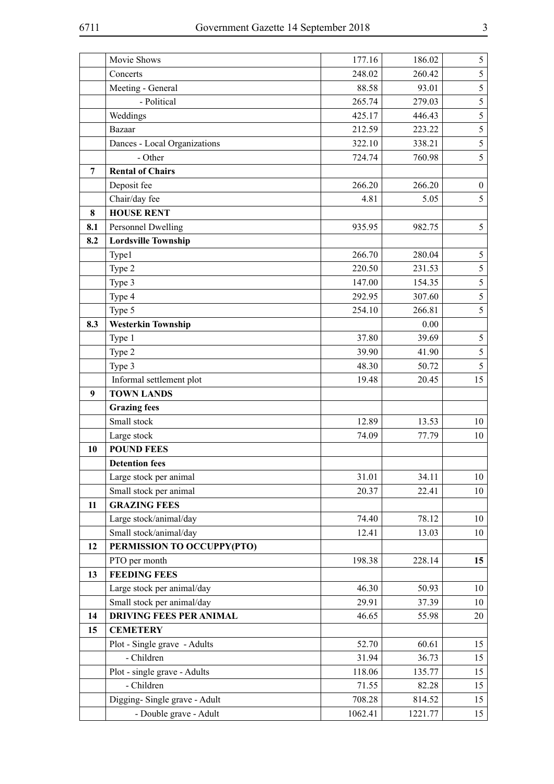|     | Movie Shows                                            | 177.16            | 186.02            | $\mathfrak{S}$   |
|-----|--------------------------------------------------------|-------------------|-------------------|------------------|
|     | Concerts                                               | 248.02            | 260.42            | 5                |
|     | Meeting - General                                      | 88.58             | 93.01             | $\sqrt{5}$       |
|     | - Political                                            | 265.74            | 279.03            | 5                |
|     | Weddings                                               | 425.17            | 446.43            | 5                |
|     | Bazaar                                                 | 212.59            | 223.22            | 5                |
|     | Dances - Local Organizations                           | 322.10            | 338.21            | $\sqrt{5}$       |
|     | - Other                                                | 724.74            | 760.98            | 5                |
| 7   | <b>Rental of Chairs</b>                                |                   |                   |                  |
|     | Deposit fee                                            | 266.20            | 266.20            | $\boldsymbol{0}$ |
|     | Chair/day fee                                          | 4.81              | 5.05              | 5                |
| 8   | <b>HOUSE RENT</b>                                      |                   |                   |                  |
| 8.1 | Personnel Dwelling                                     | 935.95            | 982.75            | 5                |
| 8.2 | <b>Lordsville Township</b>                             |                   |                   |                  |
|     | Type1                                                  | 266.70            | 280.04            | 5                |
|     | Type 2                                                 | 220.50            | 231.53            | 5                |
|     | Type 3                                                 | 147.00            | 154.35            | 5                |
|     | Type 4                                                 | 292.95            | 307.60            | 5                |
|     | Type 5                                                 | 254.10            | 266.81            | 5                |
| 8.3 | <b>Westerkin Township</b>                              |                   | 0.00              |                  |
|     | Type 1                                                 | 37.80             | 39.69             | 5                |
|     | Type 2                                                 | 39.90             | 41.90             | $\mathfrak{S}$   |
|     | Type 3                                                 | 48.30             | 50.72             | 5                |
|     | Informal settlement plot                               | 19.48             | 20.45             | 15               |
|     | <b>TOWN LANDS</b>                                      |                   |                   |                  |
| 9   |                                                        |                   |                   |                  |
|     | <b>Grazing fees</b>                                    |                   |                   |                  |
|     | Small stock                                            | 12.89             | 13.53             | 10               |
|     | Large stock                                            | 74.09             | 77.79             | 10               |
| 10  | <b>POUND FEES</b>                                      |                   |                   |                  |
|     | <b>Detention fees</b>                                  |                   |                   |                  |
|     | Large stock per animal                                 | 31.01             | 34.11             | 10               |
|     | Small stock per animal                                 | 20.37             | 22.41             | 10               |
| 11  | <b>GRAZING FEES</b>                                    |                   |                   |                  |
|     | Large stock/animal/day                                 | 74.40             | 78.12             | 10               |
|     | Small stock/animal/day                                 | 12.41             | 13.03             | 10               |
| 12  | PERMISSION TO OCCUPPY(PTO)                             |                   |                   |                  |
|     | PTO per month                                          | 198.38            | 228.14            | 15               |
| 13  | <b>FEEDING FEES</b>                                    |                   |                   |                  |
|     | Large stock per animal/day                             | 46.30             | 50.93             | 10               |
|     | Small stock per animal/day                             | 29.91             | 37.39             | 10               |
| 14  | <b>DRIVING FEES PER ANIMAL</b>                         | 46.65             | 55.98             | 20               |
| 15  | <b>CEMETERY</b>                                        |                   |                   |                  |
|     | Plot - Single grave - Adults                           | 52.70             | 60.61             | 15               |
|     | - Children                                             | 31.94             | 36.73             | 15               |
|     | Plot - single grave - Adults                           | 118.06            | 135.77            | 15               |
|     | - Children                                             | 71.55             | 82.28             | 15               |
|     | Digging-Single grave - Adult<br>- Double grave - Adult | 708.28<br>1062.41 | 814.52<br>1221.77 | 15<br>15         |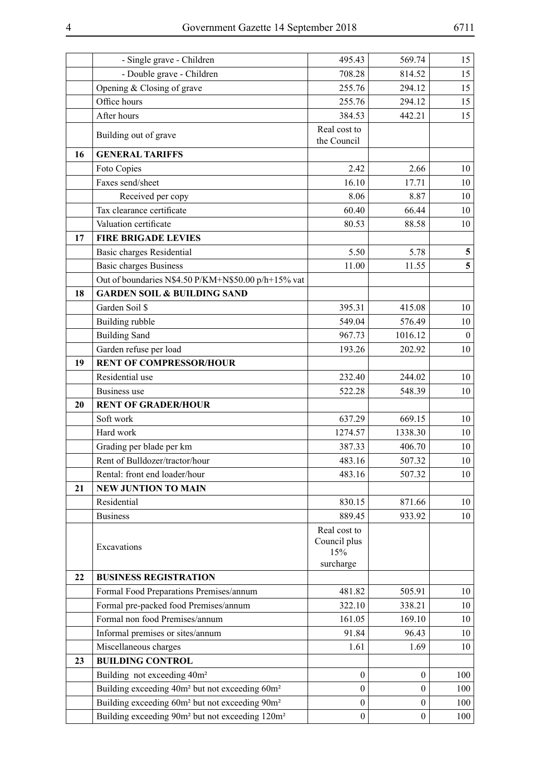|    | - Single grave - Children                                               | 495.43                      | 569.74           | 15                      |
|----|-------------------------------------------------------------------------|-----------------------------|------------------|-------------------------|
|    | - Double grave - Children                                               | 708.28                      | 814.52           | 15                      |
|    | Opening & Closing of grave                                              | 255.76                      | 294.12           | 15                      |
|    | Office hours                                                            | 255.76                      | 294.12           | 15                      |
|    | After hours                                                             | 384.53                      | 442.21           | 15                      |
|    | Building out of grave                                                   | Real cost to<br>the Council |                  |                         |
| 16 | <b>GENERAL TARIFFS</b>                                                  |                             |                  |                         |
|    | Foto Copies                                                             | 2.42                        | 2.66             | 10                      |
|    | Faxes send/sheet                                                        | 16.10                       | 17.71            | 10                      |
|    | Received per copy                                                       | 8.06                        | 8.87             | 10                      |
|    | Tax clearance certificate                                               | 60.40                       | 66.44            | 10                      |
|    | Valuation certificate                                                   | 80.53                       | 88.58            | 10                      |
| 17 | <b>FIRE BRIGADE LEVIES</b>                                              |                             |                  |                         |
|    | <b>Basic charges Residential</b>                                        | 5.50                        | 5.78             | $\overline{\mathbf{5}}$ |
|    | <b>Basic charges Business</b>                                           | 11.00                       | 11.55            | 5                       |
|    | Out of boundaries N\$4.50 P/KM+N\$50.00 p/h+15% vat                     |                             |                  |                         |
| 18 | <b>GARDEN SOIL &amp; BUILDING SAND</b>                                  |                             |                  |                         |
|    | Garden Soil \$                                                          | 395.31                      | 415.08           | 10                      |
|    | Building rubble                                                         | 549.04                      | 576.49           | 10                      |
|    | <b>Building Sand</b>                                                    | 967.73                      | 1016.12          | $\boldsymbol{0}$        |
|    | Garden refuse per load                                                  | 193.26                      | 202.92           | 10                      |
| 19 | <b>RENT OF COMPRESSOR/HOUR</b>                                          |                             |                  |                         |
|    | Residential use                                                         | 232.40                      | 244.02           | 10                      |
|    | <b>Business</b> use                                                     | 522.28                      | 548.39           | 10                      |
| 20 | <b>RENT OF GRADER/HOUR</b>                                              |                             |                  |                         |
|    | Soft work                                                               | 637.29                      | 669.15           | 10                      |
|    | Hard work                                                               | 1274.57                     | 1338.30          | 10                      |
|    | Grading per blade per km                                                | 387.33                      | 406.70           | 10                      |
|    | Rent of Bulldozer/tractor/hour<br>Rental: front end loader/hour         | 483.16<br>483.16            | 507.32<br>507.32 | 10                      |
| 21 | <b>NEW JUNTION TO MAIN</b>                                              |                             |                  | 10                      |
|    | Residential                                                             | 830.15                      | 871.66           |                         |
|    | <b>Business</b>                                                         | 889.45                      | 933.92           | 10<br>10                |
|    |                                                                         | Real cost to                |                  |                         |
|    |                                                                         | Council plus                |                  |                         |
|    | Excavations                                                             | 15%                         |                  |                         |
|    |                                                                         | surcharge                   |                  |                         |
| 22 | <b>BUSINESS REGISTRATION</b>                                            |                             |                  |                         |
|    | Formal Food Preparations Premises/annum                                 | 481.82                      | 505.91           | 10                      |
|    | Formal pre-packed food Premises/annum                                   | 322.10                      | 338.21           | 10                      |
|    | Formal non food Premises/annum                                          | 161.05                      | 169.10           | 10                      |
|    | Informal premises or sites/annum                                        | 91.84                       | 96.43            | 10                      |
|    | Miscellaneous charges                                                   | 1.61                        | 1.69             | 10                      |
| 23 | <b>BUILDING CONTROL</b>                                                 |                             |                  |                         |
|    | Building not exceeding 40m <sup>2</sup>                                 | $\mathbf{0}$                | $\mathbf{0}$     | 100                     |
|    | Building exceeding 40m <sup>2</sup> but not exceeding 60m <sup>2</sup>  | $\boldsymbol{0}$            | $\boldsymbol{0}$ | 100                     |
|    | Building exceeding 60m <sup>2</sup> but not exceeding 90m <sup>2</sup>  | $\boldsymbol{0}$            | $\theta$         | 100                     |
|    | Building exceeding 90m <sup>2</sup> but not exceeding 120m <sup>2</sup> | $\boldsymbol{0}$            | $\boldsymbol{0}$ | 100                     |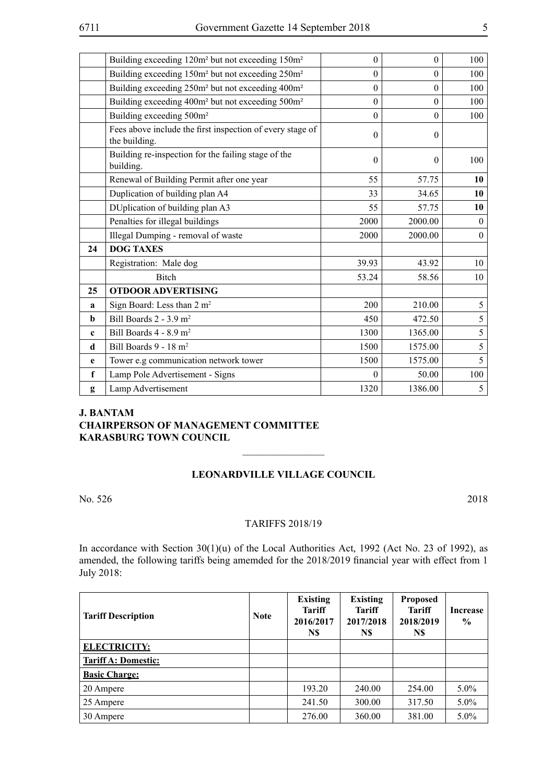|             | Building exceeding 120m <sup>2</sup> but not exceeding 150m <sup>2</sup>   | $\boldsymbol{0}$ | $\Omega$ | 100            |
|-------------|----------------------------------------------------------------------------|------------------|----------|----------------|
|             | Building exceeding 150m <sup>2</sup> but not exceeding 250m <sup>2</sup>   | $\mathbf{0}$     | $\theta$ | 100            |
|             | Building exceeding 250m <sup>2</sup> but not exceeding 400m <sup>2</sup>   | $\boldsymbol{0}$ | $\theta$ | 100            |
|             | Building exceeding 400m <sup>2</sup> but not exceeding 500m <sup>2</sup>   | $\mathbf{0}$     | $\theta$ | 100            |
|             | Building exceeding 500m <sup>2</sup>                                       | $\mathbf{0}$     | $\theta$ | 100            |
|             | Fees above include the first inspection of every stage of<br>the building. | $\theta$         | $\Omega$ |                |
|             | Building re-inspection for the failing stage of the<br>building.           | $\theta$         | $\theta$ | 100            |
|             | Renewal of Building Permit after one year                                  | 55               | 57.75    | 10             |
|             | Duplication of building plan A4                                            | 33               | 34.65    | 10             |
|             | DUplication of building plan A3                                            | 55               | 57.75    | 10             |
|             | Penalties for illegal buildings                                            | 2000             | 2000.00  | $\theta$       |
|             | Illegal Dumping - removal of waste                                         | 2000             | 2000.00  | $\mathbf{0}$   |
| 24          | <b>DOG TAXES</b>                                                           |                  |          |                |
|             | Registration: Male dog                                                     | 39.93            | 43.92    | 10             |
|             | <b>Bitch</b>                                                               | 53.24            | 58.56    | 10             |
| 25          | <b>OTDOOR ADVERTISING</b>                                                  |                  |          |                |
| a           | Sign Board: Less than 2 m <sup>2</sup>                                     | 200              | 210.00   | $\mathfrak{S}$ |
| $\mathbf b$ | Bill Boards 2 - 3.9 m <sup>2</sup>                                         | 450              | 472.50   | 5              |
| $\mathbf c$ | Bill Boards 4 - 8.9 m <sup>2</sup>                                         | 1300             | 1365.00  | $\mathfrak{S}$ |
| d           | Bill Boards 9 - 18 m <sup>2</sup>                                          | 1500             | 1575.00  | 5              |
| e           | Tower e.g communication network tower                                      | 1500             | 1575.00  | 5 <sup>1</sup> |
| f           | Lamp Pole Advertisement - Signs                                            | $\theta$         | 50.00    | 100            |
| g           | Lamp Advertisement                                                         | 1320             | 1386.00  | 5 <sup>5</sup> |

## **J. Bantam Chairperson of Management Committee Karasburg Town Council**

# **Leonardville Village Council**

 $\overline{\phantom{a}}$  , where  $\overline{\phantom{a}}$ 

No. 526 2018

#### **TARIFFS 2018/19**

In accordance with Section  $30(1)(u)$  of the Local Authorities Act, 1992 (Act No. 23 of 1992), as amended, the following tariffs being amemded for the 2018/2019 financial year with effect from 1 July 2018:

| <b>Tariff Description</b>  | <b>Note</b> | <b>Existing</b><br><b>Tariff</b><br>2016/2017<br>N\$ | <b>Existing</b><br><b>Tariff</b><br>2017/2018<br>N\$ | <b>Proposed</b><br><b>Tariff</b><br>2018/2019<br>N\$ | <b>Increase</b><br>$\frac{6}{9}$ |
|----------------------------|-------------|------------------------------------------------------|------------------------------------------------------|------------------------------------------------------|----------------------------------|
| <b>ELECTRICITY:</b>        |             |                                                      |                                                      |                                                      |                                  |
| <b>Tariff A: Domestic:</b> |             |                                                      |                                                      |                                                      |                                  |
| <b>Basic Charge:</b>       |             |                                                      |                                                      |                                                      |                                  |
| 20 Ampere                  |             | 193.20                                               | 240.00                                               | 254.00                                               | $5.0\%$                          |
| 25 Ampere                  |             | 241.50                                               | 300.00                                               | 317.50                                               | $5.0\%$                          |
| 30 Ampere                  |             | 276.00                                               | 360.00                                               | 381.00                                               | $5.0\%$                          |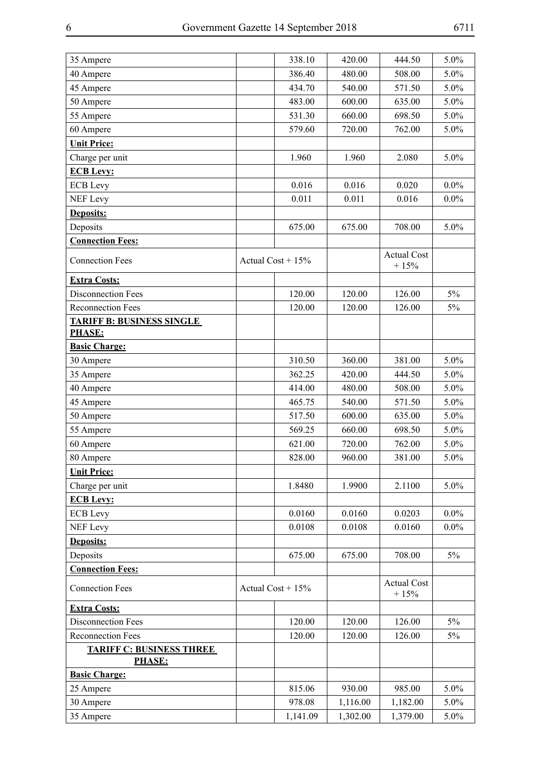| 35 Ampere                                         | 338.10              | 420.00   | 444.50                       | 5.0%    |
|---------------------------------------------------|---------------------|----------|------------------------------|---------|
| 40 Ampere                                         | 386.40              | 480.00   | 508.00                       | 5.0%    |
| 45 Ampere                                         | 434.70              | 540.00   | 571.50                       | 5.0%    |
| 50 Ampere                                         | 483.00              | 600.00   | 635.00                       | 5.0%    |
| 55 Ampere                                         | 531.30              | 660.00   | 698.50                       | 5.0%    |
| 60 Ampere                                         | 579.60              | 720.00   | 762.00                       | 5.0%    |
| <b>Unit Price:</b>                                |                     |          |                              |         |
| Charge per unit                                   | 1.960               | 1.960    | 2.080                        | 5.0%    |
| <b>ECB Levy:</b>                                  |                     |          |                              |         |
| <b>ECB</b> Levy                                   | 0.016               | 0.016    | 0.020                        | $0.0\%$ |
| <b>NEF</b> Levy                                   | 0.011               | 0.011    | 0.016                        | $0.0\%$ |
| Deposits:                                         |                     |          |                              |         |
| Deposits                                          | 675.00              | 675.00   | 708.00                       | 5.0%    |
| <b>Connection Fees:</b>                           |                     |          |                              |         |
| <b>Connection Fees</b>                            | Actual Cost + $15%$ |          | <b>Actual Cost</b><br>$+15%$ |         |
| <b>Extra Costs:</b>                               |                     |          |                              |         |
| <b>Disconnection Fees</b>                         | 120.00              | 120.00   | 126.00                       | $5\%$   |
| <b>Reconnection Fees</b>                          | 120.00              | 120.00   | 126.00                       | $5\%$   |
| <b>TARIFF B: BUSINESS SINGLE</b><br><b>PHASE:</b> |                     |          |                              |         |
| <b>Basic Charge:</b>                              |                     |          |                              |         |
| 30 Ampere                                         | 310.50              | 360.00   | 381.00                       | 5.0%    |
| 35 Ampere                                         | 362.25              | 420.00   | 444.50                       | 5.0%    |
| 40 Ampere                                         | 414.00              | 480.00   | 508.00                       | 5.0%    |
| 45 Ampere                                         | 465.75              | 540.00   | 571.50                       | 5.0%    |
| 50 Ampere                                         | 517.50              | 600.00   | 635.00                       | 5.0%    |
| 55 Ampere                                         | 569.25              | 660.00   | 698.50                       | 5.0%    |
| 60 Ampere                                         | 621.00              | 720.00   | 762.00                       | 5.0%    |
| 80 Ampere                                         | 828.00              | 960.00   | 381.00                       | 5.0%    |
| <b>Unit Price:</b>                                |                     |          |                              |         |
| Charge per unit                                   | 1.8480              | 1.9900   | 2.1100                       | 5.0%    |
| <b>ECB Levy:</b>                                  |                     |          |                              |         |
| <b>ECB</b> Levy                                   | 0.0160              | 0.0160   | 0.0203                       | $0.0\%$ |
| <b>NEF Levy</b>                                   | 0.0108              | 0.0108   | 0.0160                       | $0.0\%$ |
| Deposits:                                         |                     |          |                              |         |
| Deposits                                          | 675.00              | 675.00   | 708.00                       | 5%      |
| <b>Connection Fees:</b>                           |                     |          |                              |         |
| <b>Connection Fees</b>                            | Actual Cost + $15%$ |          | <b>Actual Cost</b><br>$+15%$ |         |
| <b>Extra Costs:</b>                               |                     |          |                              |         |
| <b>Disconnection Fees</b>                         | 120.00              | 120.00   | 126.00                       | 5%      |
| <b>Reconnection Fees</b>                          | 120.00              | 120.00   | 126.00                       | 5%      |
| <b>TARIFF C: BUSINESS THREE</b><br><b>PHASE:</b>  |                     |          |                              |         |
| <b>Basic Charge:</b>                              |                     |          |                              |         |
| 25 Ampere                                         | 815.06              | 930.00   | 985.00                       | 5.0%    |
| 30 Ampere                                         | 978.08              | 1,116.00 | 1,182.00                     | 5.0%    |
| 35 Ampere                                         | 1,141.09            | 1,302.00 | 1,379.00                     | 5.0%    |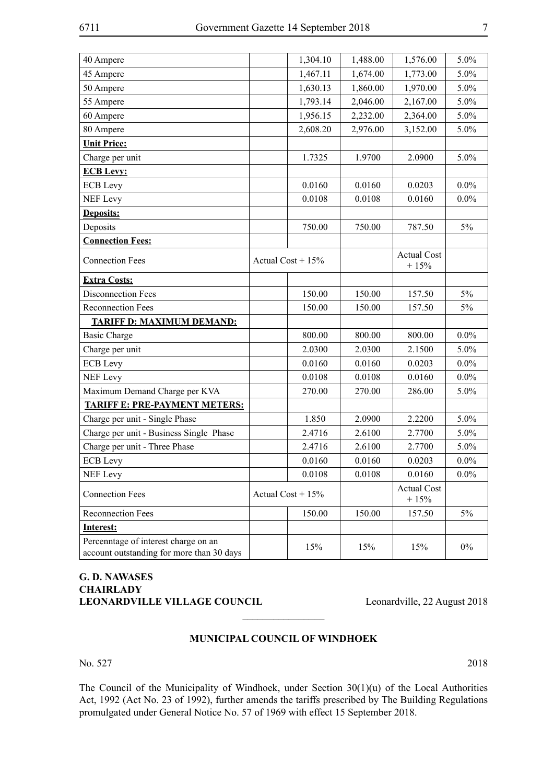| 40 Ampere                                                                         | 1,304.10            | 1,488.00 | 1,576.00                     | 5.0%    |
|-----------------------------------------------------------------------------------|---------------------|----------|------------------------------|---------|
| 45 Ampere                                                                         | 1,467.11            | 1,674.00 | 1,773.00                     | 5.0%    |
| 50 Ampere                                                                         | 1,630.13            | 1,860.00 | 1,970.00                     | 5.0%    |
| 55 Ampere                                                                         | 1,793.14            | 2,046.00 | 2,167.00                     | 5.0%    |
| 60 Ampere                                                                         | 1,956.15            | 2,232.00 | 2,364.00                     | 5.0%    |
| 80 Ampere                                                                         | 2,608.20            | 2,976.00 | 3,152.00                     | 5.0%    |
| <b>Unit Price:</b>                                                                |                     |          |                              |         |
| Charge per unit                                                                   | 1.7325              | 1.9700   | 2.0900                       | 5.0%    |
| <b>ECB Levy:</b>                                                                  |                     |          |                              |         |
| <b>ECB</b> Levy                                                                   | 0.0160              | 0.0160   | 0.0203                       | $0.0\%$ |
| <b>NEF Levy</b>                                                                   | 0.0108              | 0.0108   | 0.0160                       | $0.0\%$ |
| <b>Deposits:</b>                                                                  |                     |          |                              |         |
| Deposits                                                                          | 750.00              | 750.00   | 787.50                       | 5%      |
| <b>Connection Fees:</b>                                                           |                     |          |                              |         |
| <b>Connection Fees</b>                                                            | Actual Cost + $15%$ |          | <b>Actual Cost</b><br>$+15%$ |         |
| <b>Extra Costs:</b>                                                               |                     |          |                              |         |
| <b>Disconnection Fees</b>                                                         | 150.00              | 150.00   | 157.50                       | 5%      |
| <b>Reconnection Fees</b>                                                          | 150.00              | 150.00   | 157.50                       | 5%      |
| <b>TARIFF D: MAXIMUM DEMAND:</b>                                                  |                     |          |                              |         |
| <b>Basic Charge</b>                                                               | 800.00              | 800.00   | 800.00                       | $0.0\%$ |
| Charge per unit                                                                   | 2.0300              | 2.0300   | 2.1500                       | 5.0%    |
| <b>ECB</b> Levy                                                                   | 0.0160              | 0.0160   | 0.0203                       | $0.0\%$ |
| <b>NEF Levy</b>                                                                   | 0.0108              | 0.0108   | 0.0160                       | $0.0\%$ |
| Maximum Demand Charge per KVA                                                     | 270.00              | 270.00   | 286.00                       | 5.0%    |
| <b>TARIFF E: PRE-PAYMENT METERS:</b>                                              |                     |          |                              |         |
| Charge per unit - Single Phase                                                    | 1.850               | 2.0900   | 2.2200                       | 5.0%    |
| Charge per unit - Business Single Phase                                           | 2.4716              | 2.6100   | 2.7700                       | 5.0%    |
| Charge per unit - Three Phase                                                     | 2.4716              | 2.6100   | 2.7700                       | 5.0%    |
| <b>ECB</b> Levy                                                                   | 0.0160              | 0.0160   | 0.0203                       | $0.0\%$ |
| <b>NEF Levy</b>                                                                   | 0.0108              | 0.0108   | 0.0160                       | $0.0\%$ |
| <b>Connection Fees</b>                                                            | Actual Cost + $15%$ |          | <b>Actual Cost</b><br>$+15%$ |         |
| Reconnection Fees                                                                 | 150.00              | 150.00   | 157.50                       | $5\%$   |
| <b>Interest:</b>                                                                  |                     |          |                              |         |
| Percenntage of interest charge on an<br>account outstanding for more than 30 days | 15%                 | 15%      | 15%                          | $0\%$   |

### **G. D. NAWASES CHAIRLADY** LEONARDVILLE VILLAGE COUNCIL Leonardville, 22 August 2018

#### **MUNICIPAL COUNCIL OF WINDHOEK**

 $\frac{1}{2}$ 

No. 527 2018

The Council of the Municipality of Windhoek, under Section 30(1)(u) of the Local Authorities Act, 1992 (Act No. 23 of 1992), further amends the tariffs prescribed by The Building Regulations promulgated under General Notice No. 57 of 1969 with effect 15 September 2018.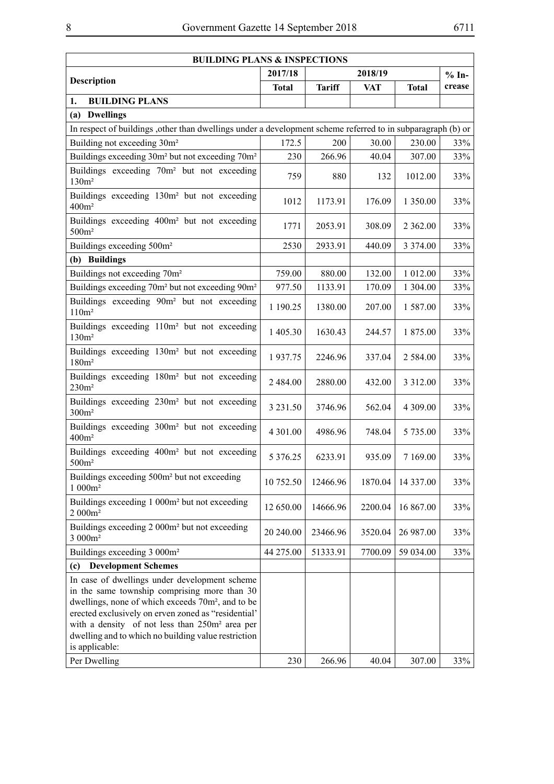| <b>BUILDING PLANS &amp; INSPECTIONS</b>                                                                                                                                                                                                                                                                                                                      |               |               |            |              |         |
|--------------------------------------------------------------------------------------------------------------------------------------------------------------------------------------------------------------------------------------------------------------------------------------------------------------------------------------------------------------|---------------|---------------|------------|--------------|---------|
| <b>Description</b>                                                                                                                                                                                                                                                                                                                                           | 2017/18       |               | 2018/19    |              | $% In-$ |
|                                                                                                                                                                                                                                                                                                                                                              | <b>Total</b>  | <b>Tariff</b> | <b>VAT</b> | <b>Total</b> | crease  |
| 1.<br><b>BUILDING PLANS</b>                                                                                                                                                                                                                                                                                                                                  |               |               |            |              |         |
| (a) Dwellings                                                                                                                                                                                                                                                                                                                                                |               |               |            |              |         |
| In respect of buildings, other than dwellings under a development scheme referred to in subparagraph (b) or                                                                                                                                                                                                                                                  |               |               |            |              |         |
| Building not exceeding 30m <sup>2</sup>                                                                                                                                                                                                                                                                                                                      | 172.5         | 200           | 30.00      | 230.00       | 33%     |
| Buildings exceeding 30m <sup>2</sup> but not exceeding 70m <sup>2</sup>                                                                                                                                                                                                                                                                                      | 230           | 266.96        | 40.04      | 307.00       | 33%     |
| Buildings exceeding 70m <sup>2</sup> but not exceeding<br>130m <sup>2</sup>                                                                                                                                                                                                                                                                                  | 759           | 880           | 132        | 1012.00      | 33%     |
| Buildings exceeding 130m <sup>2</sup> but not exceeding<br>400m <sup>2</sup>                                                                                                                                                                                                                                                                                 | 1012          | 1173.91       | 176.09     | 1 350.00     | 33%     |
| Buildings exceeding 400m <sup>2</sup> but not exceeding<br>500m <sup>2</sup>                                                                                                                                                                                                                                                                                 | 1771          | 2053.91       | 308.09     | 2 3 6 2 .00  | 33%     |
| Buildings exceeding 500m <sup>2</sup>                                                                                                                                                                                                                                                                                                                        | 2530          | 2933.91       | 440.09     | 3 3 7 4 .00  | 33%     |
| (b) Buildings                                                                                                                                                                                                                                                                                                                                                |               |               |            |              |         |
| Buildings not exceeding 70m <sup>2</sup>                                                                                                                                                                                                                                                                                                                     | 759.00        | 880.00        | 132.00     | 1 012.00     | 33%     |
| Buildings exceeding 70m <sup>2</sup> but not exceeding 90m <sup>2</sup>                                                                                                                                                                                                                                                                                      | 977.50        | 1133.91       | 170.09     | 1 304.00     | 33%     |
| Buildings exceeding 90m <sup>2</sup> but not exceeding<br>110m <sup>2</sup>                                                                                                                                                                                                                                                                                  | 1 190.25      | 1380.00       | 207.00     | 1 587.00     | 33%     |
| Buildings exceeding 110m <sup>2</sup> but not exceeding<br>130m <sup>2</sup>                                                                                                                                                                                                                                                                                 | 1 405.30      | 1630.43       | 244.57     | 1 875.00     | 33%     |
| Buildings exceeding 130m <sup>2</sup> but not exceeding<br>180m <sup>2</sup>                                                                                                                                                                                                                                                                                 | 1937.75       | 2246.96       | 337.04     | 2 5 8 4 .00  | 33%     |
| Buildings exceeding 180m <sup>2</sup> but not exceeding<br>230m <sup>2</sup>                                                                                                                                                                                                                                                                                 | 2 484.00      | 2880.00       | 432.00     | 3 3 1 2 .00  | 33%     |
| Buildings exceeding 230m <sup>2</sup> but not exceeding<br>300m <sup>2</sup>                                                                                                                                                                                                                                                                                 | 3 2 3 1 .50   | 3746.96       | 562.04     | 4 309.00     | 33%     |
| Buildings exceeding 300m <sup>2</sup> but not exceeding<br>400m <sup>2</sup>                                                                                                                                                                                                                                                                                 | 4 301.00      | 4986.96       | 748.04     | 5 735.00     | 33%     |
| Buildings exceeding 400m <sup>2</sup> but not exceeding<br>500m <sup>2</sup>                                                                                                                                                                                                                                                                                 | 5 3 7 6 . 2 5 | 6233.91       | 935.09     | 7 169.00     | 33%     |
| Buildings exceeding 500m <sup>2</sup> but not exceeding<br>$1000m^2$                                                                                                                                                                                                                                                                                         | 10 752.50     | 12466.96      | 1870.04    | 14 337.00    | 33%     |
| Buildings exceeding 1 000m <sup>2</sup> but not exceeding<br>$2000m^2$                                                                                                                                                                                                                                                                                       | 12 650.00     | 14666.96      | 2200.04    | 16 867.00    | 33%     |
| Buildings exceeding 2 000m <sup>2</sup> but not exceeding<br>3 000m <sup>2</sup>                                                                                                                                                                                                                                                                             | 20 240.00     | 23466.96      | 3520.04    | 26 987.00    | 33%     |
| Buildings exceeding 3 000m <sup>2</sup>                                                                                                                                                                                                                                                                                                                      | 44 275.00     | 51333.91      | 7700.09    | 59 034.00    | 33%     |
| <b>Development Schemes</b><br>(c)                                                                                                                                                                                                                                                                                                                            |               |               |            |              |         |
| In case of dwellings under development scheme<br>in the same township comprising more than 30<br>dwellings, none of which exceeds 70m <sup>2</sup> , and to be<br>erected exclusively on erven zoned as "residential"<br>with a density of not less than 250m <sup>2</sup> area per<br>dwelling and to which no building value restriction<br>is applicable: |               |               |            |              |         |
| Per Dwelling                                                                                                                                                                                                                                                                                                                                                 | 230           | 266.96        | 40.04      | 307.00       | 33%     |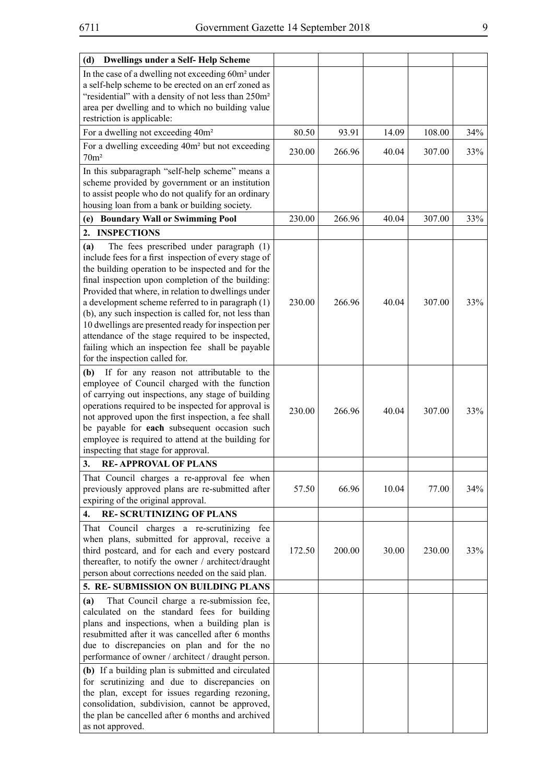| <b>Dwellings under a Self-Help Scheme</b><br>(d)                                                                                                                                                                                                                                                                                                                                                                                                                                                                                                                                          |        |        |       |        |     |
|-------------------------------------------------------------------------------------------------------------------------------------------------------------------------------------------------------------------------------------------------------------------------------------------------------------------------------------------------------------------------------------------------------------------------------------------------------------------------------------------------------------------------------------------------------------------------------------------|--------|--------|-------|--------|-----|
| In the case of a dwelling not exceeding 60m <sup>2</sup> under<br>a self-help scheme to be erected on an erf zoned as<br>"residential" with a density of not less than 250m <sup>2</sup><br>area per dwelling and to which no building value<br>restriction is applicable:                                                                                                                                                                                                                                                                                                                |        |        |       |        |     |
| For a dwelling not exceeding 40m <sup>2</sup>                                                                                                                                                                                                                                                                                                                                                                                                                                                                                                                                             | 80.50  | 93.91  | 14.09 | 108.00 | 34% |
| For a dwelling exceeding 40m <sup>2</sup> but not exceeding<br>70m <sup>2</sup>                                                                                                                                                                                                                                                                                                                                                                                                                                                                                                           | 230.00 | 266.96 | 40.04 | 307.00 | 33% |
| In this subparagraph "self-help scheme" means a<br>scheme provided by government or an institution<br>to assist people who do not qualify for an ordinary<br>housing loan from a bank or building society.                                                                                                                                                                                                                                                                                                                                                                                |        |        |       |        |     |
| (e) Boundary Wall or Swimming Pool                                                                                                                                                                                                                                                                                                                                                                                                                                                                                                                                                        | 230.00 | 266.96 | 40.04 | 307.00 | 33% |
| <b>INSPECTIONS</b><br>2.                                                                                                                                                                                                                                                                                                                                                                                                                                                                                                                                                                  |        |        |       |        |     |
| The fees prescribed under paragraph (1)<br>(a)<br>include fees for a first inspection of every stage of<br>the building operation to be inspected and for the<br>final inspection upon completion of the building:<br>Provided that where, in relation to dwellings under<br>a development scheme referred to in paragraph (1)<br>(b), any such inspection is called for, not less than<br>10 dwellings are presented ready for inspection per<br>attendance of the stage required to be inspected,<br>failing which an inspection fee shall be payable<br>for the inspection called for. | 230.00 | 266.96 | 40.04 | 307.00 | 33% |
| If for any reason not attributable to the<br>(b)<br>employee of Council charged with the function<br>of carrying out inspections, any stage of building<br>operations required to be inspected for approval is<br>not approved upon the first inspection, a fee shall<br>be payable for each subsequent occasion such<br>employee is required to attend at the building for<br>inspecting that stage for approval.                                                                                                                                                                        | 230.00 | 266.96 | 40.04 | 307.00 | 33% |
| 3.<br><b>RE-APPROVAL OF PLANS</b>                                                                                                                                                                                                                                                                                                                                                                                                                                                                                                                                                         |        |        |       |        |     |
| That Council charges a re-approval fee when<br>previously approved plans are re-submitted after<br>expiring of the original approval.                                                                                                                                                                                                                                                                                                                                                                                                                                                     | 57.50  | 66.96  | 10.04 | 77.00  | 34% |
| <b>RE-SCRUTINIZING OF PLANS</b><br>4.                                                                                                                                                                                                                                                                                                                                                                                                                                                                                                                                                     |        |        |       |        |     |
| That Council charges a re-scrutinizing fee<br>when plans, submitted for approval, receive a<br>third postcard, and for each and every postcard<br>thereafter, to notify the owner / architect/draught<br>person about corrections needed on the said plan.                                                                                                                                                                                                                                                                                                                                | 172.50 | 200.00 | 30.00 | 230.00 | 33% |
| 5. RE-SUBMISSION ON BUILDING PLANS                                                                                                                                                                                                                                                                                                                                                                                                                                                                                                                                                        |        |        |       |        |     |
| That Council charge a re-submission fee,<br>(a)<br>calculated on the standard fees for building<br>plans and inspections, when a building plan is<br>resubmitted after it was cancelled after 6 months<br>due to discrepancies on plan and for the no<br>performance of owner / architect / draught person.                                                                                                                                                                                                                                                                               |        |        |       |        |     |
| (b) If a building plan is submitted and circulated<br>for scrutinizing and due to discrepancies on<br>the plan, except for issues regarding rezoning,<br>consolidation, subdivision, cannot be approved,<br>the plan be cancelled after 6 months and archived<br>as not approved.                                                                                                                                                                                                                                                                                                         |        |        |       |        |     |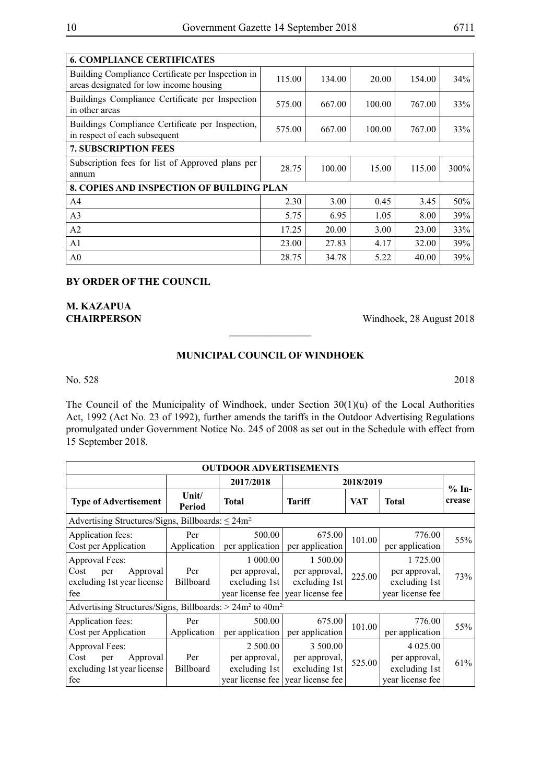| <b>6. COMPLIANCE CERTIFICATES</b>                                                            |        |        |        |        |         |  |  |  |
|----------------------------------------------------------------------------------------------|--------|--------|--------|--------|---------|--|--|--|
| Building Compliance Certificate per Inspection in<br>areas designated for low income housing | 115.00 | 134.00 | 20.00  | 154.00 | 34%     |  |  |  |
| Buildings Compliance Certificate per Inspection<br>in other areas                            | 575.00 | 667.00 | 100.00 | 767.00 | 33%     |  |  |  |
| Buildings Compliance Certificate per Inspection,<br>in respect of each subsequent            | 575.00 | 667.00 | 100.00 | 767.00 | 33%     |  |  |  |
| <b>7. SUBSCRIPTION FEES</b>                                                                  |        |        |        |        |         |  |  |  |
| Subscription fees for list of Approved plans per<br>annum                                    | 28.75  | 100.00 | 15.00  | 115.00 | $300\%$ |  |  |  |
| <b>8. COPIES AND INSPECTION OF BUILDING PLAN</b>                                             |        |        |        |        |         |  |  |  |
| A <sub>4</sub>                                                                               | 2.30   | 3.00   | 0.45   | 3.45   | 50%     |  |  |  |
| A <sub>3</sub>                                                                               | 5.75   | 6.95   | 1.05   | 8.00   | 39%     |  |  |  |
| A <sub>2</sub>                                                                               | 17.25  | 20.00  | 3.00   | 23.00  | 33%     |  |  |  |
| A <sub>1</sub>                                                                               | 23.00  | 27.83  | 4.17   | 32.00  | 39%     |  |  |  |
| A <sub>0</sub>                                                                               | 28.75  | 34.78  | 5.22   | 40.00  | 39%     |  |  |  |

#### **BY ORDER OF THE COUNCIL**

**M. KAZAPUA** 

**CHAIRPERSON** Windhoek, 28 August 2018

### **MUNICIPAL COUNCIL OF WINDHOEK**

 $\overline{\phantom{a}}$  , where  $\overline{\phantom{a}}$ 

No. 528 2018

The Council of the Municipality of Windhoek, under Section 30(1)(u) of the Local Authorities Act, 1992 (Act No. 23 of 1992), further amends the tariffs in the Outdoor Advertising Regulations promulgated under Government Notice No. 245 of 2008 as set out in the Schedule with effect from 15 September 2018.

| <b>OUTDOOR ADVERTISEMENTS</b>                                                  |                         |                                            |                                                                                 |            |                                                                  |                   |
|--------------------------------------------------------------------------------|-------------------------|--------------------------------------------|---------------------------------------------------------------------------------|------------|------------------------------------------------------------------|-------------------|
|                                                                                |                         | 2017/2018                                  | 2018/2019                                                                       |            |                                                                  |                   |
| <b>Type of Advertisement</b>                                                   | Unit/<br><b>Period</b>  | <b>Total</b>                               | <b>Tariff</b>                                                                   | <b>VAT</b> | <b>Total</b>                                                     | $% In-$<br>crease |
| Advertising Structures/Signs, Billboards: $\leq 24m^{2}$                       |                         |                                            |                                                                                 |            |                                                                  |                   |
| Application fees:<br>Cost per Application                                      | Per<br>Application      | 500.00<br>per application                  | 675.00<br>per application                                                       | 101.00     | 776.00<br>per application                                        | 55%               |
| Approval Fees:<br>Cost<br>Approval<br>per<br>excluding 1st year license<br>fee | Per<br><b>Billboard</b> | 1 000.00<br>per approval,<br>excluding 1st | 1 500.00<br>per approval,<br>excluding 1st<br>year license fee vear license fee | 225.00     | 1 725.00<br>per approval,<br>excluding 1st<br>year license fee   | 73%               |
| Advertising Structures/Signs, Billboards: $> 24m^2$ to $40m^2$ .               |                         |                                            |                                                                                 |            |                                                                  |                   |
| Application fees:<br>Cost per Application                                      | Per<br>Application      | 500.00<br>per application                  | 675.00<br>per application                                                       | 101.00     | 776.00<br>per application                                        | 55%               |
| Approval Fees:<br>Cost<br>Approval<br>per<br>excluding 1st year license<br>fee | Per<br><b>Billboard</b> | 2 500.00<br>per approval,<br>excluding 1st | 3 500.00<br>per approval,<br>excluding 1st<br>year license fee vear license fee | 525.00     | 4 0 25 .00<br>per approval,<br>excluding 1st<br>year license fee | 61%               |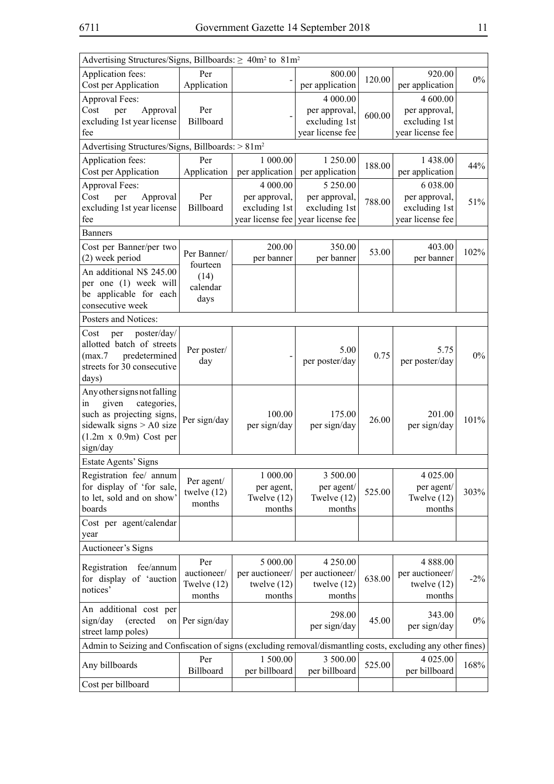| Advertising Structures/Signs, Billboards: $\geq 40m^2$ to $81m^2$                                           |                             |                             |                                     |        |                                   |        |
|-------------------------------------------------------------------------------------------------------------|-----------------------------|-----------------------------|-------------------------------------|--------|-----------------------------------|--------|
| Application fees:                                                                                           | Per                         |                             | 800.00                              | 120.00 | 920.00                            | $0\%$  |
| Cost per Application                                                                                        | Application                 |                             | per application                     |        | per application                   |        |
| Approval Fees:                                                                                              |                             |                             | 4 000.00                            |        | 4 600.00                          |        |
| Approval<br>Cost<br>per                                                                                     | Per                         |                             | per approval,                       | 600.00 | per approval,                     |        |
| excluding 1st year license<br>fee                                                                           | Billboard                   |                             | excluding 1st<br>year license fee   |        | excluding 1st<br>year license fee |        |
|                                                                                                             |                             |                             |                                     |        |                                   |        |
| Advertising Structures/Signs, Billboards: > 81m <sup>2</sup>                                                |                             |                             |                                     |        |                                   |        |
| Application fees:                                                                                           | Per<br>Application          | 1 000.00<br>per application | 1 250.00<br>per application         | 188.00 | 1 438.00                          | 44%    |
| Cost per Application                                                                                        |                             | 4 000.00                    |                                     |        | per application                   |        |
| Approval Fees:<br>Approval<br>Cost<br>per                                                                   | Per                         | per approval,               | 5 250.00<br>per approval,           |        | 6 038.00<br>per approval,         |        |
| excluding 1st year license                                                                                  | Billboard                   | excluding 1st               | excluding 1st                       | 788.00 | excluding 1st                     | 51%    |
| fee                                                                                                         |                             |                             | year license fee   year license fee |        | year license fee                  |        |
| Banners                                                                                                     |                             |                             |                                     |        |                                   |        |
| Cost per Banner/per two                                                                                     |                             | 200.00                      | 350.00                              |        | 403.00                            |        |
| (2) week period                                                                                             | Per Banner/                 | per banner                  | per banner                          | 53.00  | per banner                        | 102%   |
| An additional N\$ 245.00                                                                                    | fourteen                    |                             |                                     |        |                                   |        |
| per one (1) week will                                                                                       | (14)<br>calendar            |                             |                                     |        |                                   |        |
| be applicable for each                                                                                      | days                        |                             |                                     |        |                                   |        |
| consecutive week                                                                                            |                             |                             |                                     |        |                                   |        |
| Posters and Notices:                                                                                        |                             |                             |                                     |        |                                   |        |
| poster/day/<br>Cost<br>per                                                                                  |                             |                             |                                     |        |                                   |        |
| allotted batch of streets                                                                                   | Per poster/                 |                             | 5.00                                |        | 5.75                              |        |
| predetermined<br>(max.7                                                                                     | day                         |                             | per poster/day                      | 0.75   | per poster/day                    | $0\%$  |
| streets for 30 consecutive                                                                                  |                             |                             |                                     |        |                                   |        |
| days)                                                                                                       |                             |                             |                                     |        |                                   |        |
| Any other signs not falling<br>categories,<br>given<br>in                                                   |                             |                             |                                     |        |                                   |        |
| such as projecting signs,                                                                                   |                             | 100.00                      | 175.00                              |        | 201.00                            |        |
| sidewalk signs $> A0$ size                                                                                  | Per sign/day                | per sign/day                | per sign/day                        | 26.00  | per sign/day                      | 101%   |
| $(1.2m \times 0.9m)$ Cost per                                                                               |                             |                             |                                     |        |                                   |        |
| sign/day                                                                                                    |                             |                             |                                     |        |                                   |        |
| Estate Agents' Signs                                                                                        |                             |                             |                                     |        |                                   |        |
| Registration fee/ annum                                                                                     |                             | 1 000.00                    | 3 500.00                            |        | 4 025.00                          |        |
| for display of 'for sale,                                                                                   | Per agent/<br>twelve $(12)$ | per agent,                  | per agent/                          | 525.00 | per agent/                        | 303%   |
| to let, sold and on show'                                                                                   | months                      | Twelve $(12)$               | Twelve (12)                         |        | Twelve $(12)$                     |        |
| boards                                                                                                      |                             | months                      | months                              |        | months                            |        |
| Cost per agent/calendar                                                                                     |                             |                             |                                     |        |                                   |        |
| year                                                                                                        |                             |                             |                                     |        |                                   |        |
| Auctioneer's Signs                                                                                          |                             |                             |                                     |        |                                   |        |
| Registration<br>fee/annum                                                                                   | Per                         | 5 000.00                    | 4 250.00                            |        | 4 888.00                          |        |
| for display of 'auction                                                                                     | auctioneer/                 | per auctioneer/             | per auctioneer/                     | 638.00 | per auctioneer/                   | $-2\%$ |
| notices'                                                                                                    | Twelve $(12)$<br>months     | twelve $(12)$<br>months     | twelve $(12)$<br>months             |        | twelve $(12)$<br>months           |        |
|                                                                                                             |                             |                             |                                     |        |                                   |        |
| An additional cost per<br>sign/day<br>(erected<br>on                                                        | Per sign/day                |                             | 298.00                              | 45.00  | 343.00                            | $0\%$  |
| street lamp poles)                                                                                          |                             |                             | per sign/day                        |        | per sign/day                      |        |
| Admin to Seizing and Confiscation of signs (excluding removal/dismantling costs, excluding any other fines) |                             |                             |                                     |        |                                   |        |
|                                                                                                             | Per                         | 1 500.00                    | 3 500.00                            |        | 4 025.00                          |        |
| Any billboards                                                                                              | Billboard                   | per billboard               | per billboard                       | 525.00 | per billboard                     | 168%   |
| Cost per billboard                                                                                          |                             |                             |                                     |        |                                   |        |
|                                                                                                             |                             |                             |                                     |        |                                   |        |